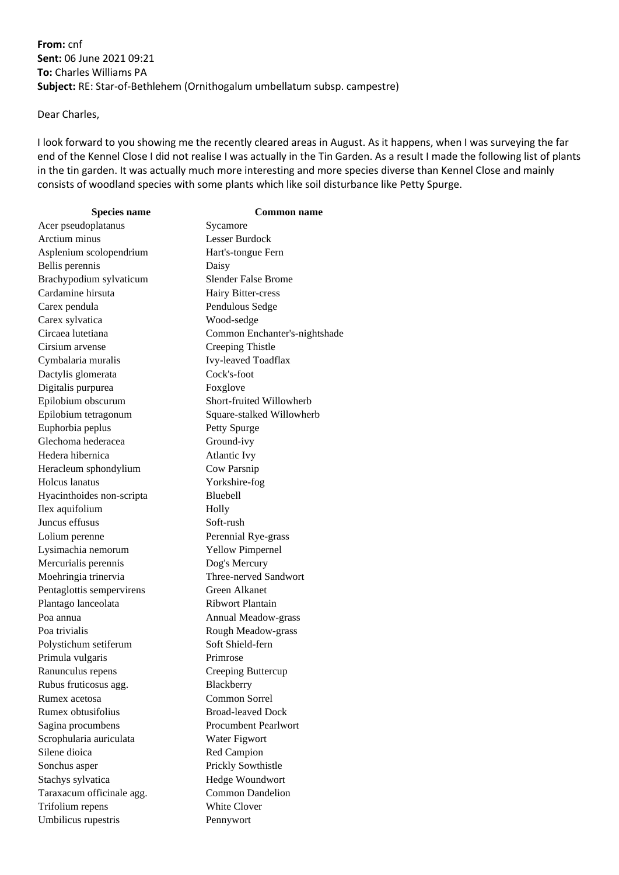**From:** cnf **Sent:** 06 June 2021 09:21 **To:** Charles Williams PA **Subject:** RE: Star-of-Bethlehem (Ornithogalum umbellatum subsp. campestre)

Dear Charles,

I look forward to you showing me the recently cleared areas in August. As it happens, when I was surveying the far end of the Kennel Close I did not realise I was actually in the Tin Garden. As a result I made the following list of plants in the tin garden. It was actually much more interesting and more species diverse than Kennel Close and mainly consists of woodland species with some plants which like soil disturbance like Petty Spurge.

| <b>Species name</b>       | <b>Common name</b>            |
|---------------------------|-------------------------------|
| Acer pseudoplatanus       | Sycamore                      |
| Arctium minus             | Lesser Burdock                |
| Asplenium scolopendrium   | Hart's-tongue Fern            |
| Bellis perennis           | Daisy                         |
| Brachypodium sylvaticum   | <b>Slender False Brome</b>    |
| Cardamine hirsuta         | Hairy Bitter-cress            |
| Carex pendula             | Pendulous Sedge               |
| Carex sylvatica           | Wood-sedge                    |
| Circaea lutetiana         | Common Enchanter's-nightshade |
| Cirsium arvense           | Creeping Thistle              |
| Cymbalaria muralis        | Ivy-leaved Toadflax           |
| Dactylis glomerata        | Cock's-foot                   |
| Digitalis purpurea        | Foxglove                      |
| Epilobium obscurum        | Short-fruited Willowherb      |
| Epilobium tetragonum      | Square-stalked Willowherb     |
| Euphorbia peplus          | Petty Spurge                  |
| Glechoma hederacea        | Ground-ivy                    |
| Hedera hibernica          | <b>Atlantic Ivy</b>           |
| Heracleum sphondylium     | Cow Parsnip                   |
| Holcus lanatus            | Yorkshire-fog                 |
| Hyacinthoides non-scripta | <b>Bluebell</b>               |
| Ilex aquifolium           | Holly                         |
| Juncus effusus            | Soft-rush                     |
| Lolium perenne            | Perennial Rye-grass           |
| Lysimachia nemorum        | <b>Yellow Pimpernel</b>       |
| Mercurialis perennis      | Dog's Mercury                 |
| Moehringia trinervia      | Three-nerved Sandwort         |
| Pentaglottis sempervirens | Green Alkanet                 |
| Plantago lanceolata       | Ribwort Plantain              |
| Poa annua                 | Annual Meadow-grass           |
| Poa trivialis             | Rough Meadow-grass            |
| Polystichum setiferum     | Soft Shield-fern              |
| Primula vulgaris          | Primrose                      |
| Ranunculus repens         | Creeping Buttercup            |
| Rubus fruticosus agg.     | Blackberry                    |
| Rumex acetosa             | Common Sorrel                 |
| Rumex obtusifolius        | <b>Broad-leaved Dock</b>      |
| Sagina procumbens         | <b>Procumbent Pearlwort</b>   |
| Scrophularia auriculata   | Water Figwort                 |
| Silene dioica             | Red Campion                   |
| Sonchus asper             | Prickly Sowthistle            |
| Stachys sylvatica         | Hedge Woundwort               |
| Taraxacum officinale agg. | <b>Common Dandelion</b>       |
| Trifolium repens          | White Clover                  |
| Umbilicus rupestris       | Pennywort                     |